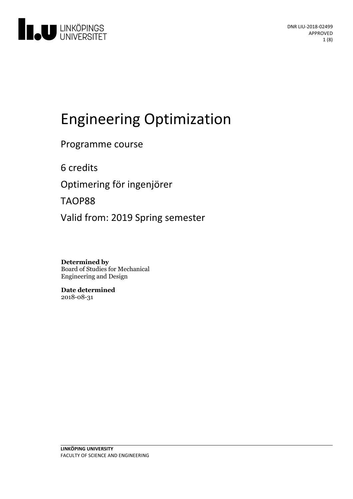

# Engineering Optimization

Programme course

6 credits

Optimering för ingenjörer

TAOP88

Valid from: 2019 Spring semester

**Determined by** Board of Studies for Mechanical Engineering and Design

**Date determined** 2018-08-31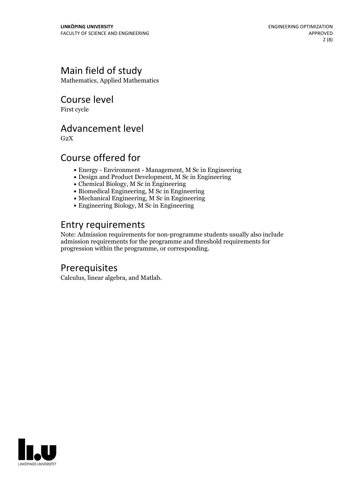### Main field of study

Mathematics, Applied Mathematics

Course level

First cycle

### Advancement level

 $G<sub>2</sub>X$ 

### Course offered for

- Energy Environment Management, M Sc in Engineering
- Design and Product Development, M Sc in Engineering
- Chemical Biology, M Sc in Engineering
- Biomedical Engineering, M Sc in Engineering
- Mechanical Engineering, M Sc in Engineering
- Engineering Biology, M Sc in Engineering

### Entry requirements

Note: Admission requirements for non-programme students usually also include admission requirements for the programme and threshold requirements for progression within the programme, or corresponding.

### Prerequisites

Calculus, linear algebra, and Matlab.

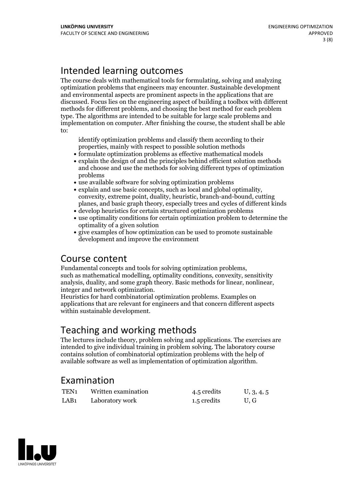### Intended learning outcomes

The course deals with mathematical tools for formulating, solving and analyzing optimization problems that engineers may encounter. Sustainable development and environmental aspects are prominent aspects in the applications that are discussed. Focus lies on the engineering aspect of building a toolbox with different methods for different problems, and choosing the best method for each problem type. The algorithms are intended to be suitable for large scale problems and implementation on computer. After finishing the course, the student shall be able to:

identify optimization problems and classify them according to their properties, mainly with respect to possible solution methods

- formulate optimization problems as effective mathematical models
- explain the design of and the principles behind efficient solution methods and choose and use the methods for solving different types of optimization problems
- use available software for solving optimization problems
- explain and use basic concepts, such as local and global optimality, convexity, extreme point, duality, heuristic, branch-and-bound, cutting planes, and basic graph theory, especially trees and cycles of different kinds
- develop heuristics for certain structured optimization problems
- use optimality conditions for certain optimization problem to determine the optimality of a given solution
- give examples of how optimization can be used to promote sustainable development and improve the environment

Course content<br>Fundamental concepts and tools for solving optimization problems, such as mathematical modelling, optimality conditions, convexity, sensitivity analysis, duality, and some graph theory. Basic methods for linear, nonlinear, integer and network optimization. Heuristics for hard combinatorial optimization problems. Examples on

applications that are relevant for engineers and that concern different aspects within sustainable development.

### Teaching and working methods

The lectures include theory, problem solving and applications. The exercises are intended to give individual training in problem solving. The laboratory course contains solution of combinatorial optimization problems with the help of available software as well as implementation of optimization algorithm.

### Examination

| TEN <sub>1</sub> | Written examination | 4.5 credits | U, 3, 4, 5 |
|------------------|---------------------|-------------|------------|
| LAB <sub>1</sub> | Laboratory work     | 1.5 credits | U.G        |

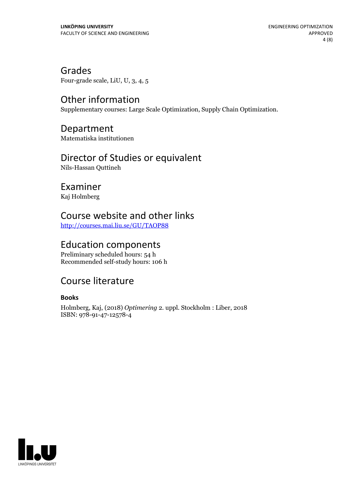Grades Four-grade scale, LiU, U, 3, 4, 5

### Other information

Supplementary courses: Large Scale Optimization, Supply Chain Optimization.

### Department

Matematiska institutionen

## Director of Studies or equivalent

Nils-Hassan Quttineh

### Examiner

Kaj Holmberg

### Course website and other links

<http://courses.mai.liu.se/GU/TAOP88>

### Education components

Preliminary scheduled hours: 54 h Recommended self-study hours: 106 h

### Course literature

#### **Books**

Holmberg, Kaj, (2018) *Optimering* 2. uppl. Stockholm : Liber, 2018 ISBN: 978-91-47-12578-4

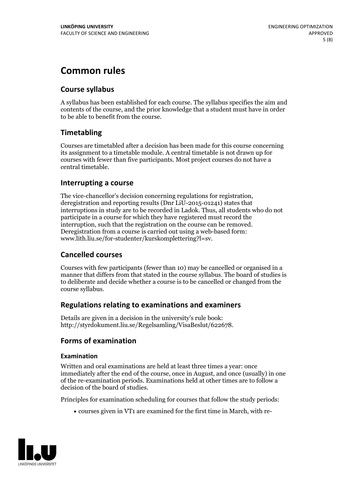### **Common rules**

### **Course syllabus**

A syllabus has been established for each course. The syllabus specifies the aim and contents of the course, and the prior knowledge that a student must have in order to be able to benefit from the course.

### **Timetabling**

Courses are timetabled after a decision has been made for this course concerning its assignment to a timetable module. A central timetable is not drawn up for courses with fewer than five participants. Most project courses do not have a central timetable.

#### **Interrupting a course**

The vice-chancellor's decision concerning regulations for registration, deregistration and reporting results (Dnr LiU-2015-01241) states that interruptions in study are to be recorded in Ladok. Thus, all students who do not participate in a course for which they have registered must record the interruption, such that the registration on the course can be removed. Deregistration from <sup>a</sup> course is carried outusing <sup>a</sup> web-based form: www.lith.liu.se/for-studenter/kurskomplettering?l=sv.

#### **Cancelled courses**

Courses with few participants (fewer than 10) may be cancelled or organised in a manner that differs from that stated in the course syllabus. The board of studies is to deliberate and decide whether a course is to be cancelled orchanged from the course syllabus.

#### **Regulations relatingto examinations and examiners**

Details are given in a decision in the university's rule book: http://styrdokument.liu.se/Regelsamling/VisaBeslut/622678.

#### **Forms of examination**

#### **Examination**

Written and oral examinations are held at least three times a year: once immediately after the end of the course, once in August, and once (usually) in one of the re-examination periods. Examinations held at other times are to follow a decision of the board of studies.

Principles for examination scheduling for courses that follow the study periods:

courses given in VT1 are examined for the first time in March, with re-

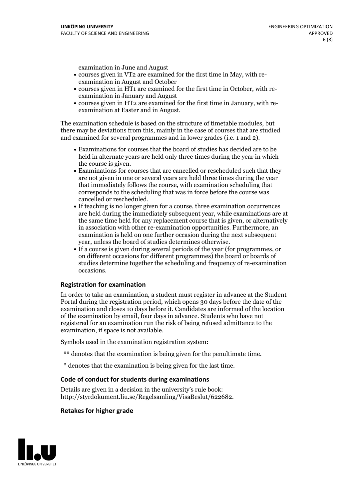examination in June and August

- courses given in VT2 are examined for the first time in May, with re-examination in August and October
- courses given in HT1 are examined for the first time in October, with re-examination in January and August
- courses given in HT2 are examined for the first time in January, with re-examination at Easter and in August.

The examination schedule is based on the structure of timetable modules, but there may be deviations from this, mainly in the case of courses that are studied and examined for several programmes and in lower grades (i.e. 1 and 2).

- Examinations for courses that the board of studies has decided are to be held in alternate years are held only three times during the year in which
- the course is given.<br>• Examinations for courses that are cancelled or rescheduled such that they are not given in one or several years are held three times during the year that immediately follows the course, with examination scheduling that corresponds to the scheduling that was in force before the course was cancelled or rescheduled.<br>• If teaching is no longer given for a course, three examination occurrences
- are held during the immediately subsequent year, while examinations are at the same time held for any replacement course that is given, or alternatively in association with other re-examination opportunities. Furthermore, an examination is held on one further occasion during the next subsequent year, unless the board of studies determines otherwise.<br>• If a course is given during several periods of the year (for programmes, or
- on different occasions for different programmes) the board orboards of studies determine together the scheduling and frequency of re-examination occasions.

#### **Registration for examination**

In order to take an examination, a student must register in advance at the Student Portal during the registration period, which opens 30 days before the date of the examination and closes 10 days before it. Candidates are informed of the location of the examination by email, four days in advance. Students who have not registered for an examination run the risk of being refused admittance to the examination, if space is not available.

Symbols used in the examination registration system:

- \*\* denotes that the examination is being given for the penultimate time.
- \* denotes that the examination is being given for the last time.

#### **Code of conduct for students during examinations**

Details are given in a decision in the university's rule book: http://styrdokument.liu.se/Regelsamling/VisaBeslut/622682.

#### **Retakes for higher grade**

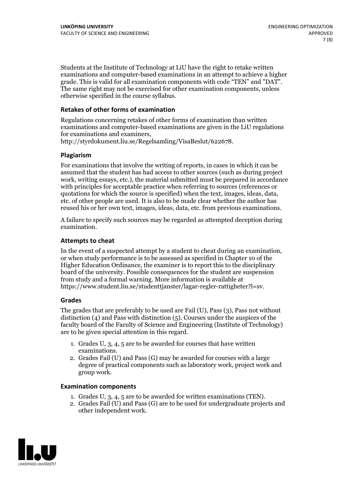Students at the Institute of Technology at LiU have the right to retake written examinations and computer-based examinations in an attempt to achieve a higher grade. This is valid for all examination components with code "TEN" and "DAT". The same right may not be exercised for other examination components, unless otherwise specified in the course syllabus.

#### **Retakes of other forms of examination**

Regulations concerning retakes of other forms of examination than written examinations and computer-based examinations are given in the LiU regulations for examinations and examiners, http://styrdokument.liu.se/Regelsamling/VisaBeslut/622678.

#### **Plagiarism**

For examinations that involve the writing of reports, in cases in which it can be assumed that the student has had access to other sources (such as during project work, writing essays, etc.), the material submitted must be prepared in accordance with principles for acceptable practice when referring to sources (references or quotations for which the source is specified) when the text, images, ideas, data, etc. of other people are used. It is also to be made clear whether the author has reused his or her own text, images, ideas, data, etc. from previous examinations.

A failure to specify such sources may be regarded as attempted deception during examination.

#### **Attempts to cheat**

In the event of <sup>a</sup> suspected attempt by <sup>a</sup> student to cheat during an examination, or when study performance is to be assessed as specified in Chapter <sup>10</sup> of the Higher Education Ordinance, the examiner is to report this to the disciplinary board of the university. Possible consequences for the student are suspension from study and a formal warning. More information is available at https://www.student.liu.se/studenttjanster/lagar-regler-rattigheter?l=sv.

#### **Grades**

The grades that are preferably to be used are Fail (U), Pass (3), Pass not without distinction  $(4)$  and Pass with distinction  $(5)$ . Courses under the auspices of the faculty board of the Faculty of Science and Engineering (Institute of Technology) are to be given special attention in this regard.

- 1. Grades U, 3, 4, 5 are to be awarded for courses that have written
- examinations. 2. Grades Fail (U) and Pass (G) may be awarded for courses with <sup>a</sup> large degree of practical components such as laboratory work, project work and group work.

#### **Examination components**

- 
- 1. Grades U, 3, 4, <sup>5</sup> are to be awarded for written examinations (TEN). 2. Grades Fail (U) and Pass (G) are to be used for undergraduate projects and other independent work.